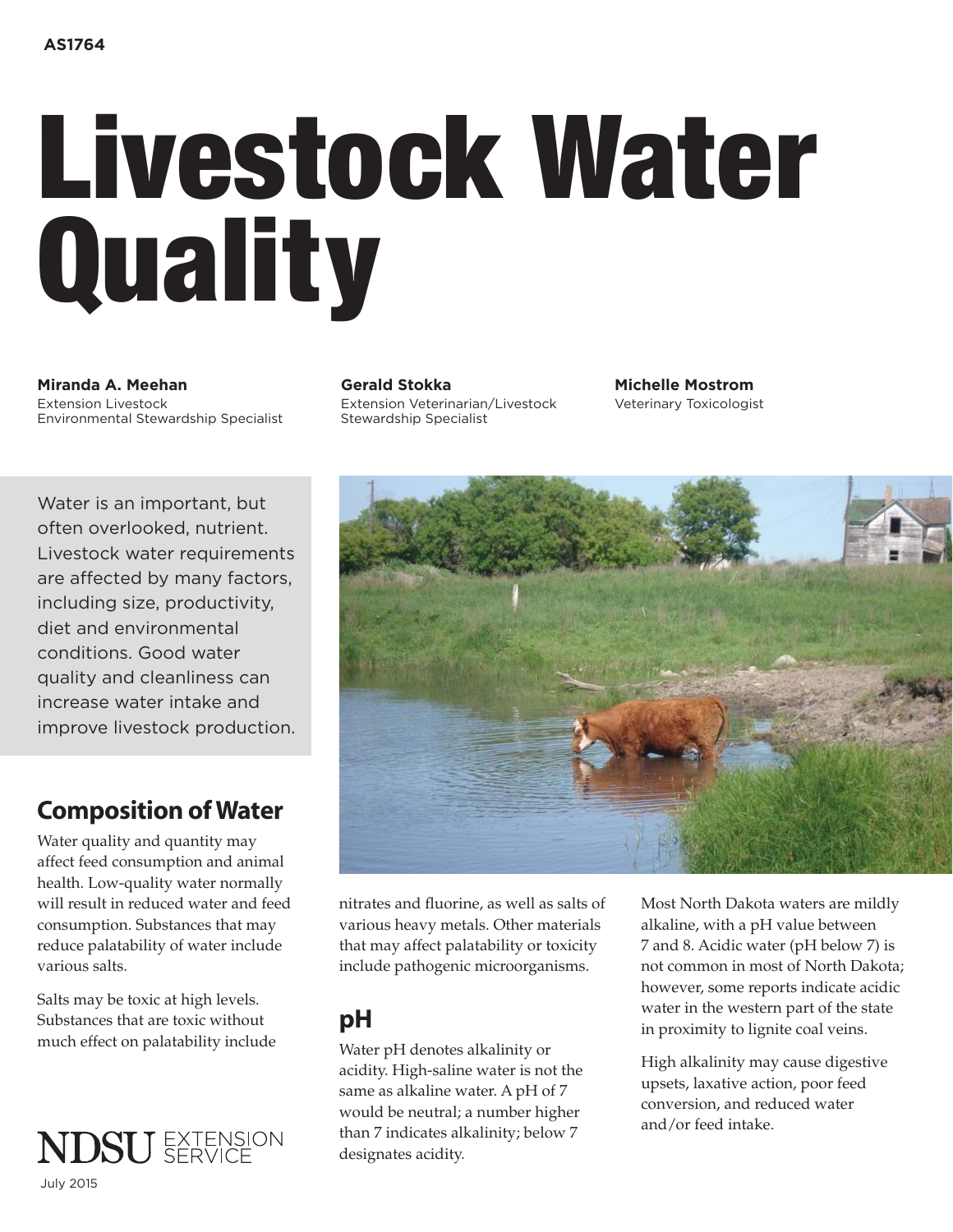# Livestock Water **Quality**

**Miranda A. Meehan Nigaliya Gerald Stokka Michelle Mostrom** Extension Livestock Extension Veterinarian/Livestock Veterinary Toxicologist<br>Environmental Stewardship Specialist Stewardship Specialist Environmental Stewardship Specialist

Water is an important, but often overlooked, nutrient. Livestock water requirements are affected by many factors, including size, productivity, diet and environmental conditions. Good water quality and cleanliness can increase water intake and improve livestock production.

# Composition of Water

Water quality and quantity may affect feed consumption and animal health. Low-quality water normally will result in reduced water and feed consumption. Substances that may reduce palatability of water include various salts.

Salts may be toxic at high levels. Substances that are toxic without much effect on palatability include



nitrates and fluorine, as well as salts of various heavy metals. Other materials that may affect palatability or toxicity include pathogenic microorganisms.

## pH

Water pH denotes alkalinity or acidity. High-saline water is not the same as alkaline water. A pH of 7 would be neutral; a number higher than 7 indicates alkalinity; below 7 designates acidity.

Most North Dakota waters are mildly alkaline, with a pH value between 7 and 8. Acidic water (pH below 7) is not common in most of North Dakota; however, some reports indicate acidic water in the western part of the state in proximity to lignite coal veins.

High alkalinity may cause digestive upsets, laxative action, poor feed conversion, and reduced water and/or feed intake.

July 2015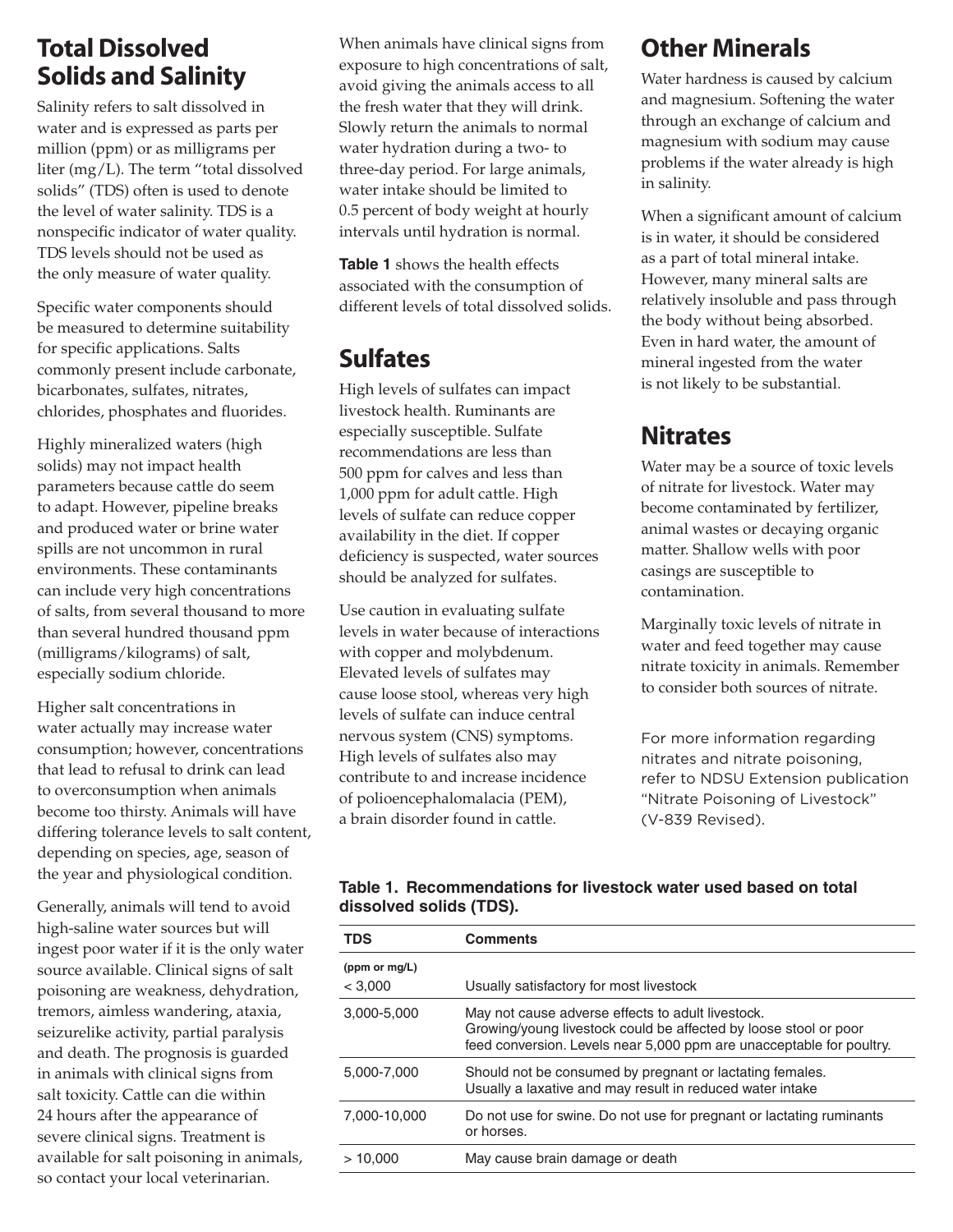# Total Dissolved Solids and Salinity

Salinity refers to salt dissolved in water and is expressed as parts per million (ppm) or as milligrams per liter (mg/L). The term "total dissolved solids" (TDS) often is used to denote the level of water salinity. TDS is a nonspecific indicator of water quality. TDS levels should not be used as the only measure of water quality.

Specific water components should be measured to determine suitability for specific applications. Salts commonly present include carbonate, bicarbonates, sulfates, nitrates, chlorides, phosphates and fluorides.

Highly mineralized waters (high solids) may not impact health parameters because cattle do seem to adapt. However, pipeline breaks and produced water or brine water spills are not uncommon in rural environments. These contaminants can include very high concentrations of salts, from several thousand to more than several hundred thousand ppm (milligrams/kilograms) of salt, especially sodium chloride.

Higher salt concentrations in water actually may increase water consumption; however, concentrations that lead to refusal to drink can lead to overconsumption when animals become too thirsty. Animals will have differing tolerance levels to salt content, depending on species, age, season of the year and physiological condition.

Generally, animals will tend to avoid high-saline water sources but will ingest poor water if it is the only water source available. Clinical signs of salt poisoning are weakness, dehydration, tremors, aimless wandering, ataxia, seizurelike activity, partial paralysis and death. The prognosis is guarded in animals with clinical signs from salt toxicity. Cattle can die within 24 hours after the appearance of severe clinical signs. Treatment is available for salt poisoning in animals, so contact your local veterinarian.

When animals have clinical signs from exposure to high concentrations of salt, avoid giving the animals access to all the fresh water that they will drink. Slowly return the animals to normal water hydration during a two- to three-day period. For large animals, water intake should be limited to 0.5 percent of body weight at hourly intervals until hydration is normal.

**Table 1** shows the health effects associated with the consumption of different levels of total dissolved solids.

# Sulfates

High levels of sulfates can impact livestock health. Ruminants are especially susceptible. Sulfate recommendations are less than 500 ppm for calves and less than 1,000 ppm for adult cattle. High levels of sulfate can reduce copper availability in the diet. If copper deficiency is suspected, water sources should be analyzed for sulfates.

Use caution in evaluating sulfate levels in water because of interactions with copper and molybdenum. Elevated levels of sulfates may cause loose stool, whereas very high levels of sulfate can induce central nervous system (CNS) symptoms. High levels of sulfates also may contribute to and increase incidence of polioencephalomalacia (PEM), a brain disorder found in cattle.

# Other Minerals

Water hardness is caused by calcium and magnesium. Softening the water through an exchange of calcium and magnesium with sodium may cause problems if the water already is high in salinity.

When a significant amount of calcium is in water, it should be considered as a part of total mineral intake. However, many mineral salts are relatively insoluble and pass through the body without being absorbed. Even in hard water, the amount of mineral ingested from the water is not likely to be substantial.

# **Nitrates**

Water may be a source of toxic levels of nitrate for livestock. Water may become contaminated by fertilizer, animal wastes or decaying organic matter. Shallow wells with poor casings are susceptible to contamination.

Marginally toxic levels of nitrate in water and feed together may cause nitrate toxicity in animals. Remember to consider both sources of nitrate.

For more information regarding nitrates and nitrate poisoning, refer to NDSU Extension publication "Nitrate Poisoning of Livestock" (V-839 Revised).

## **Table 1. Recommendations for livestock water used based on total dissolved solids (TDS).**

| <b>TDS</b>               | <b>Comments</b>                                                                                                                                                                               |
|--------------------------|-----------------------------------------------------------------------------------------------------------------------------------------------------------------------------------------------|
| (ppm or mg/L)<br>< 3,000 | Usually satisfactory for most livestock                                                                                                                                                       |
| 3,000-5,000              | May not cause adverse effects to adult livestock.<br>Growing/young livestock could be affected by loose stool or poor<br>feed conversion. Levels near 5,000 ppm are unacceptable for poultry. |
| 5.000-7.000              | Should not be consumed by pregnant or lactating females.<br>Usually a laxative and may result in reduced water intake                                                                         |
| 7.000-10.000             | Do not use for swine. Do not use for pregnant or lactating ruminants<br>or horses.                                                                                                            |
| >10,000                  | May cause brain damage or death                                                                                                                                                               |
|                          |                                                                                                                                                                                               |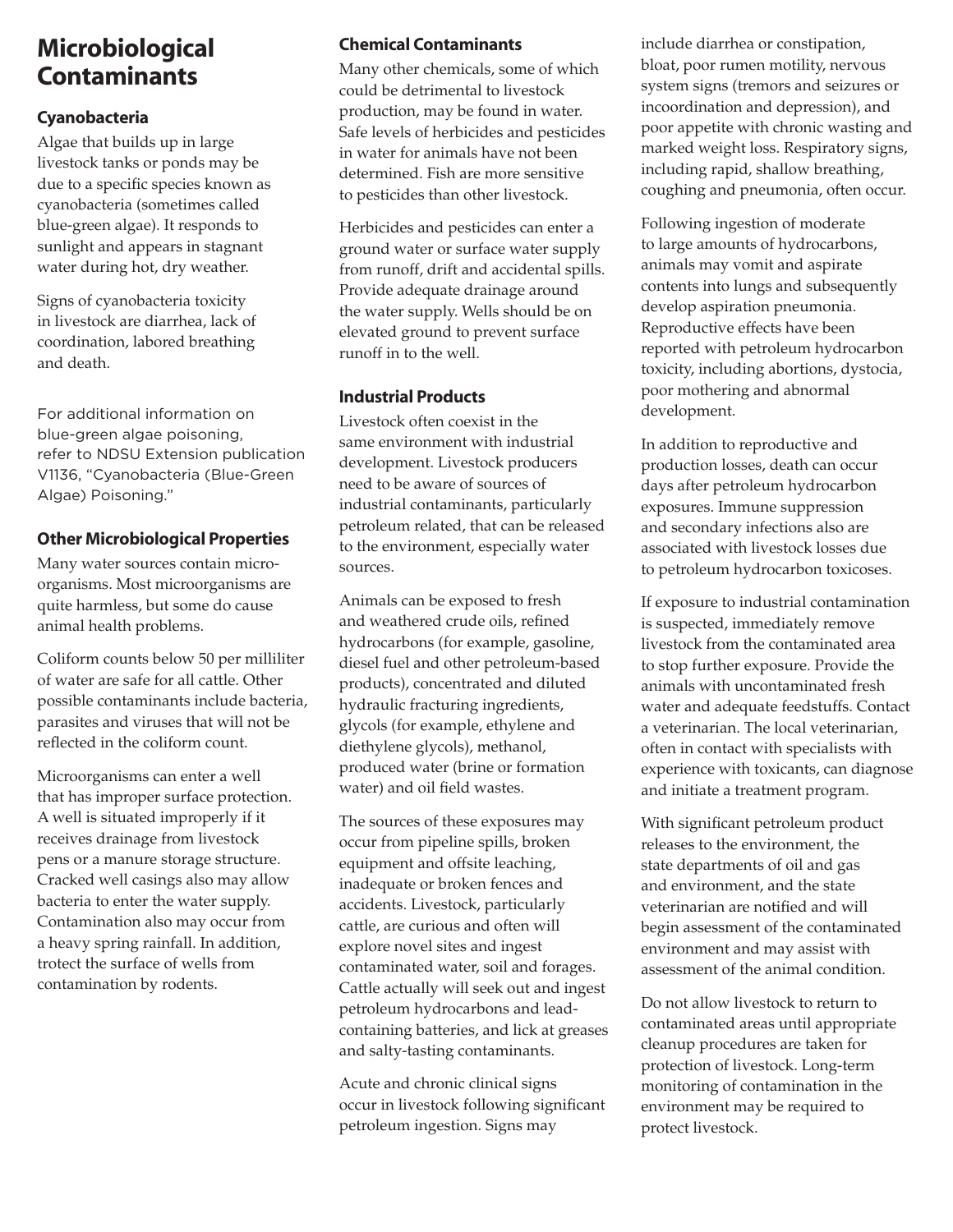## Microbiological Contaminants

### Cyanobacteria

Algae that builds up in large livestock tanks or ponds may be due to a specific species known as cyanobacteria (sometimes called blue-green algae). It responds to sunlight and appears in stagnant water during hot, dry weather.

Signs of cyanobacteria toxicity in livestock are diarrhea, lack of coordination, labored breathing and death.

For additional information on blue-green algae poisoning, refer to NDSU Extension publication V1136, "Cyanobacteria (Blue-Green Algae) Poisoning."

#### Other Microbiological Properties

Many water sources contain microorganisms. Most microorganisms are quite harmless, but some do cause animal health problems.

Coliform counts below 50 per milliliter of water are safe for all cattle. Other possible contaminants include bacteria, parasites and viruses that will not be reflected in the coliform count.

Microorganisms can enter a well that has improper surface protection. A well is situated improperly if it receives drainage from livestock pens or a manure storage structure. Cracked well casings also may allow bacteria to enter the water supply. Contamination also may occur from a heavy spring rainfall. In addition, trotect the surface of wells from contamination by rodents.

## Chemical Contaminants

Many other chemicals, some of which could be detrimental to livestock production, may be found in water. Safe levels of herbicides and pesticides in water for animals have not been determined. Fish are more sensitive to pesticides than other livestock.

Herbicides and pesticides can enter a ground water or surface water supply from runoff, drift and accidental spills. Provide adequate drainage around the water supply. Wells should be on elevated ground to prevent surface runoff in to the well.

#### Industrial Products

Livestock often coexist in the same environment with industrial development. Livestock producers need to be aware of sources of industrial contaminants, particularly petroleum related, that can be released to the environment, especially water sources.

Animals can be exposed to fresh and weathered crude oils, refined hydrocarbons (for example, gasoline, diesel fuel and other petroleum-based products), concentrated and diluted hydraulic fracturing ingredients, glycols (for example, ethylene and diethylene glycols), methanol, produced water (brine or formation water) and oil field wastes.

The sources of these exposures may occur from pipeline spills, broken equipment and offsite leaching, inadequate or broken fences and accidents. Livestock, particularly cattle, are curious and often will explore novel sites and ingest contaminated water, soil and forages. Cattle actually will seek out and ingest petroleum hydrocarbons and leadcontaining batteries, and lick at greases and salty-tasting contaminants.

Acute and chronic clinical signs occur in livestock following significant petroleum ingestion. Signs may

include diarrhea or constipation, bloat, poor rumen motility, nervous system signs (tremors and seizures or incoordination and depression), and poor appetite with chronic wasting and marked weight loss. Respiratory signs, including rapid, shallow breathing, coughing and pneumonia, often occur.

Following ingestion of moderate to large amounts of hydrocarbons, animals may vomit and aspirate contents into lungs and subsequently develop aspiration pneumonia. Reproductive effects have been reported with petroleum hydrocarbon toxicity, including abortions, dystocia, poor mothering and abnormal development.

In addition to reproductive and production losses, death can occur days after petroleum hydrocarbon exposures. Immune suppression and secondary infections also are associated with livestock losses due to petroleum hydrocarbon toxicoses.

If exposure to industrial contamination is suspected, immediately remove livestock from the contaminated area to stop further exposure. Provide the animals with uncontaminated fresh water and adequate feedstuffs. Contact a veterinarian. The local veterinarian, often in contact with specialists with experience with toxicants, can diagnose and initiate a treatment program.

With significant petroleum product releases to the environment, the state departments of oil and gas and environment, and the state veterinarian are notified and will begin assessment of the contaminated environment and may assist with assessment of the animal condition.

Do not allow livestock to return to contaminated areas until appropriate cleanup procedures are taken for protection of livestock. Long-term monitoring of contamination in the environment may be required to protect livestock.